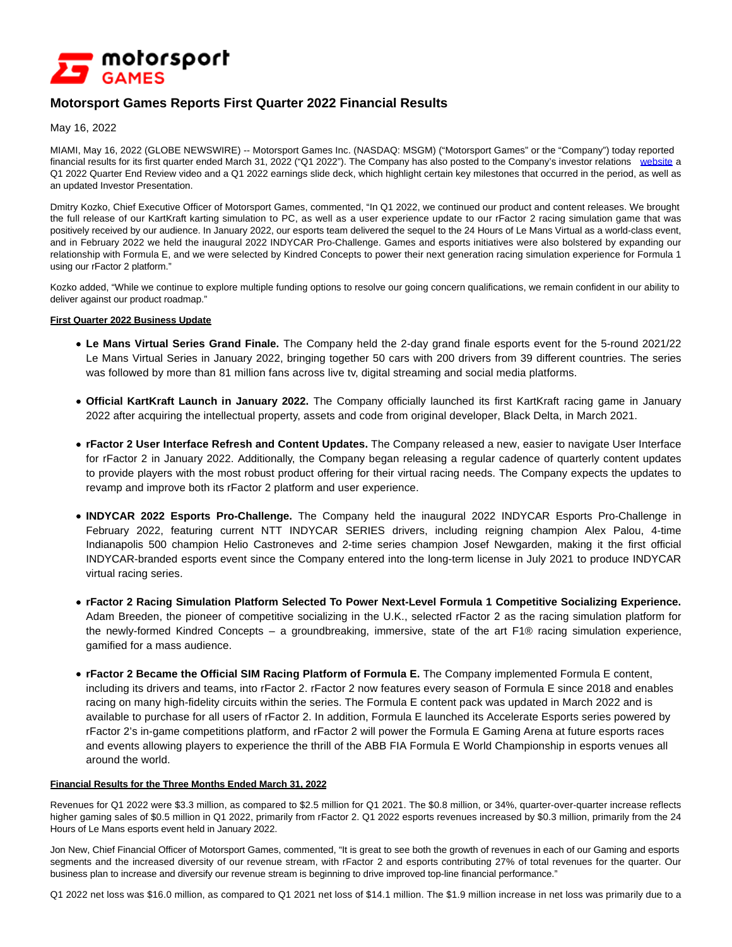

# **Motorsport Games Reports First Quarter 2022 Financial Results**

May 16, 2022

MIAMI, May 16, 2022 (GLOBE NEWSWIRE) -- Motorsport Games Inc. (NASDAQ: MSGM) ("Motorsport Games" or the "Company") today reported financial results for its first quarter ended March 31, 2022 ("Q1 2022"). The Company has also posted to the Company's investor relations [website a](https://www.globenewswire.com/Tracker?data=CsKsMKfyVTjnxVhnb4j0yySlwu3dCYiOnDg1KUSA-GJ7nnp3oM9FOqM95iJS1IpRcl11kOvT2t1SZaoqtPmHrcUiyRSRogDJcP89CK4xFEaOAj1gyKS61N32Tjigtlmvtt0Lq6iIiMWt51a797Qjbg==) Q1 2022 Quarter End Review video and a Q1 2022 earnings slide deck, which highlight certain key milestones that occurred in the period, as well as an updated Investor Presentation.

Dmitry Kozko, Chief Executive Officer of Motorsport Games, commented, "In Q1 2022, we continued our product and content releases. We brought the full release of our KartKraft karting simulation to PC, as well as a user experience update to our rFactor 2 racing simulation game that was positively received by our audience. In January 2022, our esports team delivered the sequel to the 24 Hours of Le Mans Virtual as a world-class event, and in February 2022 we held the inaugural 2022 INDYCAR Pro-Challenge. Games and esports initiatives were also bolstered by expanding our relationship with Formula E, and we were selected by Kindred Concepts to power their next generation racing simulation experience for Formula 1 using our rFactor 2 platform."

Kozko added, "While we continue to explore multiple funding options to resolve our going concern qualifications, we remain confident in our ability to deliver against our product roadmap."

## **First Quarter 2022 Business Update**

- **Le Mans Virtual Series Grand Finale.** The Company held the 2-day grand finale esports event for the 5-round 2021/22 Le Mans Virtual Series in January 2022, bringing together 50 cars with 200 drivers from 39 different countries. The series was followed by more than 81 million fans across live tv, digital streaming and social media platforms.
- **Official KartKraft Launch in January 2022.** The Company officially launched its first KartKraft racing game in January 2022 after acquiring the intellectual property, assets and code from original developer, Black Delta, in March 2021.
- **rFactor 2 User Interface Refresh and Content Updates.** The Company released a new, easier to navigate User Interface for rFactor 2 in January 2022. Additionally, the Company began releasing a regular cadence of quarterly content updates to provide players with the most robust product offering for their virtual racing needs. The Company expects the updates to revamp and improve both its rFactor 2 platform and user experience.
- **INDYCAR 2022 Esports Pro-Challenge.** The Company held the inaugural 2022 INDYCAR Esports Pro-Challenge in February 2022, featuring current NTT INDYCAR SERIES drivers, including reigning champion Alex Palou, 4-time Indianapolis 500 champion Helio Castroneves and 2-time series champion Josef Newgarden, making it the first official INDYCAR-branded esports event since the Company entered into the long-term license in July 2021 to produce INDYCAR virtual racing series.
- **rFactor 2 Racing Simulation Platform Selected To Power Next-Level Formula 1 Competitive Socializing Experience.** Adam Breeden, the pioneer of competitive socializing in the U.K., selected rFactor 2 as the racing simulation platform for the newly-formed Kindred Concepts – a groundbreaking, immersive, state of the art F1® racing simulation experience, gamified for a mass audience.
- **rFactor 2 Became the Official SIM Racing Platform of Formula E.** The Company implemented Formula E content, including its drivers and teams, into rFactor 2. rFactor 2 now features every season of Formula E since 2018 and enables racing on many high-fidelity circuits within the series. The Formula E content pack was updated in March 2022 and is available to purchase for all users of rFactor 2. In addition, Formula E launched its Accelerate Esports series powered by rFactor 2's in-game competitions platform, and rFactor 2 will power the Formula E Gaming Arena at future esports races and events allowing players to experience the thrill of the ABB FIA Formula E World Championship in esports venues all around the world.

## **Financial Results for the Three Months Ended March 31, 2022**

Revenues for Q1 2022 were \$3.3 million, as compared to \$2.5 million for Q1 2021. The \$0.8 million, or 34%, quarter-over-quarter increase reflects higher gaming sales of \$0.5 million in Q1 2022, primarily from rFactor 2. Q1 2022 esports revenues increased by \$0.3 million, primarily from the 24 Hours of Le Mans esports event held in January 2022.

Jon New, Chief Financial Officer of Motorsport Games, commented, "It is great to see both the growth of revenues in each of our Gaming and esports segments and the increased diversity of our revenue stream, with rFactor 2 and esports contributing 27% of total revenues for the quarter. Our business plan to increase and diversify our revenue stream is beginning to drive improved top-line financial performance."

Q1 2022 net loss was \$16.0 million, as compared to Q1 2021 net loss of \$14.1 million. The \$1.9 million increase in net loss was primarily due to a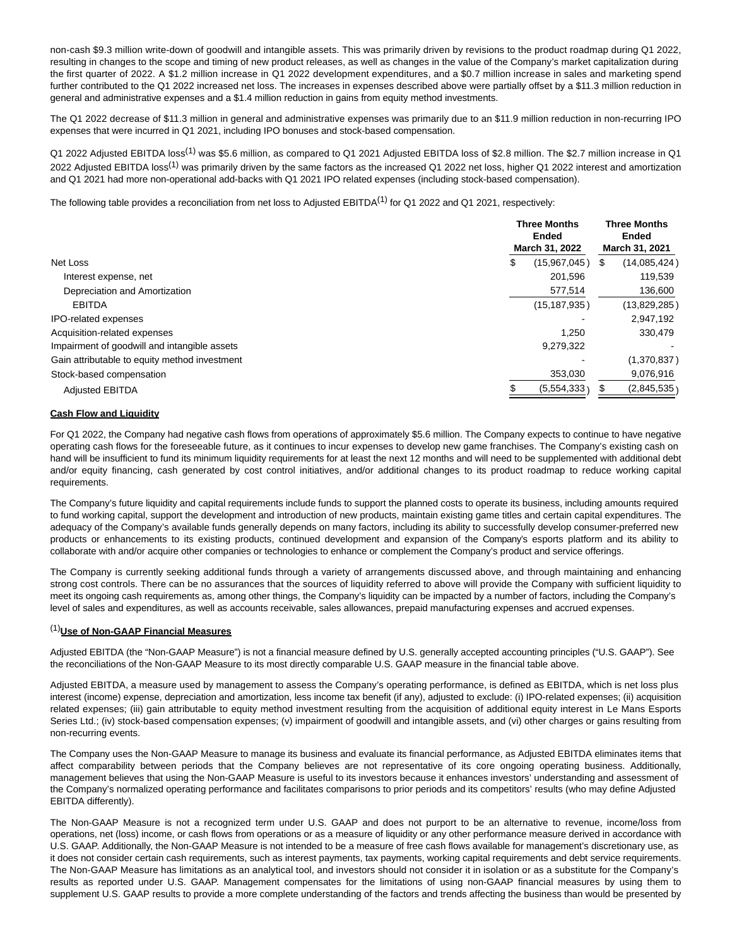non-cash \$9.3 million write-down of goodwill and intangible assets. This was primarily driven by revisions to the product roadmap during Q1 2022, resulting in changes to the scope and timing of new product releases, as well as changes in the value of the Company's market capitalization during the first quarter of 2022. A \$1.2 million increase in Q1 2022 development expenditures, and a \$0.7 million increase in sales and marketing spend further contributed to the Q1 2022 increased net loss. The increases in expenses described above were partially offset by a \$11.3 million reduction in general and administrative expenses and a \$1.4 million reduction in gains from equity method investments.

The Q1 2022 decrease of \$11.3 million in general and administrative expenses was primarily due to an \$11.9 million reduction in non-recurring IPO expenses that were incurred in Q1 2021, including IPO bonuses and stock-based compensation.

Q1 2022 Adjusted EBITDA loss<sup>(1)</sup> was \$5.6 million, as compared to Q1 2021 Adjusted EBITDA loss of \$2.8 million. The \$2.7 million increase in Q1 2022 Adjusted EBITDA loss<sup>(1)</sup> was primarily driven by the same factors as the increased Q1 2022 net loss, higher Q1 2022 interest and amortization and Q1 2021 had more non-operational add-backs with Q1 2021 IPO related expenses (including stock-based compensation).

The following table provides a reconciliation from net loss to Adjusted EBITDA<sup>(1)</sup> for Q1 2022 and Q1 2021, respectively:

|                                               | <b>Three Months</b><br>Ended<br>March 31, 2022 | <b>Three Months</b><br>Ended<br>March 31, 2021 |  |
|-----------------------------------------------|------------------------------------------------|------------------------------------------------|--|
| Net Loss                                      | (15,967,045)<br>\$                             | (14,085,424)<br>S                              |  |
| Interest expense, net                         | 201,596                                        | 119,539                                        |  |
| Depreciation and Amortization                 | 577,514                                        | 136,600                                        |  |
| <b>EBITDA</b>                                 | (15, 187, 935)                                 | (13,829,285)                                   |  |
| <b>IPO-related expenses</b>                   |                                                | 2,947,192                                      |  |
| Acquisition-related expenses                  | 1.250                                          | 330,479                                        |  |
| Impairment of goodwill and intangible assets  | 9,279,322                                      |                                                |  |
| Gain attributable to equity method investment |                                                | (1,370,837)                                    |  |
| Stock-based compensation                      | 353,030                                        | 9,076,916                                      |  |
| <b>Adjusted EBITDA</b>                        | (5,554,333)                                    | (2,845,535)                                    |  |

## **Cash Flow and Liquidity**

For Q1 2022, the Company had negative cash flows from operations of approximately \$5.6 million. The Company expects to continue to have negative operating cash flows for the foreseeable future, as it continues to incur expenses to develop new game franchises. The Company's existing cash on hand will be insufficient to fund its minimum liquidity requirements for at least the next 12 months and will need to be supplemented with additional debt and/or equity financing, cash generated by cost control initiatives, and/or additional changes to its product roadmap to reduce working capital requirements.

The Company's future liquidity and capital requirements include funds to support the planned costs to operate its business, including amounts required to fund working capital, support the development and introduction of new products, maintain existing game titles and certain capital expenditures. The adequacy of the Company's available funds generally depends on many factors, including its ability to successfully develop consumer-preferred new products or enhancements to its existing products, continued development and expansion of the Company's esports platform and its ability to collaborate with and/or acquire other companies or technologies to enhance or complement the Company's product and service offerings.

The Company is currently seeking additional funds through a variety of arrangements discussed above, and through maintaining and enhancing strong cost controls. There can be no assurances that the sources of liquidity referred to above will provide the Company with sufficient liquidity to meet its ongoing cash requirements as, among other things, the Company's liquidity can be impacted by a number of factors, including the Company's level of sales and expenditures, as well as accounts receivable, sales allowances, prepaid manufacturing expenses and accrued expenses.

#### (1)**Use of Non-GAAP Financial Measures**

Adjusted EBITDA (the "Non-GAAP Measure") is not a financial measure defined by U.S. generally accepted accounting principles ("U.S. GAAP"). See the reconciliations of the Non-GAAP Measure to its most directly comparable U.S. GAAP measure in the financial table above.

Adjusted EBITDA, a measure used by management to assess the Company's operating performance, is defined as EBITDA, which is net loss plus interest (income) expense, depreciation and amortization, less income tax benefit (if any), adjusted to exclude: (i) IPO-related expenses; (ii) acquisition related expenses; (iii) gain attributable to equity method investment resulting from the acquisition of additional equity interest in Le Mans Esports Series Ltd.; (iv) stock-based compensation expenses; (v) impairment of goodwill and intangible assets, and (vi) other charges or gains resulting from non-recurring events.

The Company uses the Non-GAAP Measure to manage its business and evaluate its financial performance, as Adjusted EBITDA eliminates items that affect comparability between periods that the Company believes are not representative of its core ongoing operating business. Additionally, management believes that using the Non-GAAP Measure is useful to its investors because it enhances investors' understanding and assessment of the Company's normalized operating performance and facilitates comparisons to prior periods and its competitors' results (who may define Adjusted EBITDA differently).

The Non-GAAP Measure is not a recognized term under U.S. GAAP and does not purport to be an alternative to revenue, income/loss from operations, net (loss) income, or cash flows from operations or as a measure of liquidity or any other performance measure derived in accordance with U.S. GAAP. Additionally, the Non-GAAP Measure is not intended to be a measure of free cash flows available for management's discretionary use, as it does not consider certain cash requirements, such as interest payments, tax payments, working capital requirements and debt service requirements. The Non-GAAP Measure has limitations as an analytical tool, and investors should not consider it in isolation or as a substitute for the Company's results as reported under U.S. GAAP. Management compensates for the limitations of using non-GAAP financial measures by using them to supplement U.S. GAAP results to provide a more complete understanding of the factors and trends affecting the business than would be presented by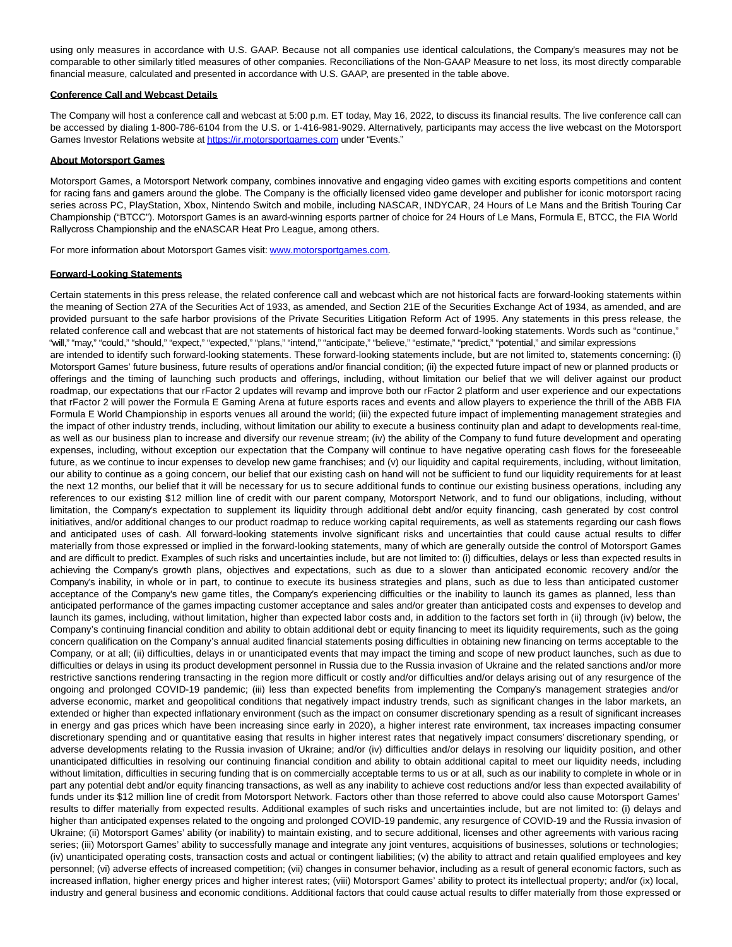using only measures in accordance with U.S. GAAP. Because not all companies use identical calculations, the Company's measures may not be comparable to other similarly titled measures of other companies. Reconciliations of the Non-GAAP Measure to net loss, its most directly comparable financial measure, calculated and presented in accordance with U.S. GAAP, are presented in the table above.

### **Conference Call and Webcast Details**

The Company will host a conference call and webcast at 5:00 p.m. ET today, May 16, 2022, to discuss its financial results. The live conference call can be accessed by dialing 1-800-786-6104 from the U.S. or 1-416-981-9029. Alternatively, participants may access the live webcast on the Motorsport Games Investor Relations website a[t https://ir.motorsportgames.com u](https://www.globenewswire.com/Tracker?data=mKUInRiOa5qTdcExAdlSrB0tpevtISBKzzqWYbyM_LULtucsIgOGhk1XIcl9ODHX15YyYqoSpyvRPHKxommoZL8sikvEOv6IlCyRn955RgThjVSqrSrnxx_KoXwumQdA)nder "Events."

#### **About Motorsport Games**

Motorsport Games, a Motorsport Network company, combines innovative and engaging video games with exciting esports competitions and content for racing fans and gamers around the globe. The Company is the officially licensed video game developer and publisher for iconic motorsport racing series across PC, PlayStation, Xbox, Nintendo Switch and mobile, including NASCAR, INDYCAR, 24 Hours of Le Mans and the British Touring Car Championship ("BTCC"). Motorsport Games is an award-winning esports partner of choice for 24 Hours of Le Mans, Formula E, BTCC, the FIA World Rallycross Championship and the eNASCAR Heat Pro League, among others.

For more information about Motorsport Games visit: [www.motorsportgames.com.](https://www.globenewswire.com/Tracker?data=HxDL5CQGJ-HsIgkQvtF6nPK1W6LALVf02DVY2bLuBzyVhEt4a09FH86Txk6PZXLtRCJ_dKjN--JYTqnp3OyUp-bvyi_SZsot5iXLiMhXyxY=)

#### **Forward-Looking Statements**

Certain statements in this press release, the related conference call and webcast which are not historical facts are forward-looking statements within the meaning of Section 27A of the Securities Act of 1933, as amended, and Section 21E of the Securities Exchange Act of 1934, as amended, and are provided pursuant to the safe harbor provisions of the Private Securities Litigation Reform Act of 1995. Any statements in this press release, the related conference call and webcast that are not statements of historical fact may be deemed forward-looking statements. Words such as "continue," "will," "may," "could," "should," "expect," "expected," "plans," "intend," "anticipate," "believe," "estimate," "predict," "potential," and similar expressions are intended to identify such forward-looking statements. These forward-looking statements include, but are not limited to, statements concerning: (i) Motorsport Games' future business, future results of operations and/or financial condition; (ii) the expected future impact of new or planned products or offerings and the timing of launching such products and offerings, including, without limitation our belief that we will deliver against our product roadmap, our expectations that our rFactor 2 updates will revamp and improve both our rFactor 2 platform and user experience and our expectations that rFactor 2 will power the Formula E Gaming Arena at future esports races and events and allow players to experience the thrill of the ABB FIA Formula E World Championship in esports venues all around the world; (iii) the expected future impact of implementing management strategies and the impact of other industry trends, including, without limitation our ability to execute a business continuity plan and adapt to developments real-time, as well as our business plan to increase and diversify our revenue stream; (iv) the ability of the Company to fund future development and operating expenses, including, without exception our expectation that the Company will continue to have negative operating cash flows for the foreseeable future, as we continue to incur expenses to develop new game franchises; and (v) our liquidity and capital requirements, including, without limitation, our ability to continue as a going concern, our belief that our existing cash on hand will not be sufficient to fund our liquidity requirements for at least the next 12 months, our belief that it will be necessary for us to secure additional funds to continue our existing business operations, including any references to our existing \$12 million line of credit with our parent company, Motorsport Network, and to fund our obligations, including, without limitation, the Company's expectation to supplement its liquidity through additional debt and/or equity financing, cash generated by cost control initiatives, and/or additional changes to our product roadmap to reduce working capital requirements, as well as statements regarding our cash flows and anticipated uses of cash. All forward-looking statements involve significant risks and uncertainties that could cause actual results to differ materially from those expressed or implied in the forward-looking statements, many of which are generally outside the control of Motorsport Games and are difficult to predict. Examples of such risks and uncertainties include, but are not limited to: (i) difficulties, delays or less than expected results in achieving the Company's growth plans, objectives and expectations, such as due to a slower than anticipated economic recovery and/or the Company's inability, in whole or in part, to continue to execute its business strategies and plans, such as due to less than anticipated customer acceptance of the Company's new game titles, the Company's experiencing difficulties or the inability to launch its games as planned, less than anticipated performance of the games impacting customer acceptance and sales and/or greater than anticipated costs and expenses to develop and launch its games, including, without limitation, higher than expected labor costs and, in addition to the factors set forth in (ii) through (iv) below, the Company's continuing financial condition and ability to obtain additional debt or equity financing to meet its liquidity requirements, such as the going concern qualification on the Company's annual audited financial statements posing difficulties in obtaining new financing on terms acceptable to the Company, or at all; (ii) difficulties, delays in or unanticipated events that may impact the timing and scope of new product launches, such as due to difficulties or delays in using its product development personnel in Russia due to the Russia invasion of Ukraine and the related sanctions and/or more restrictive sanctions rendering transacting in the region more difficult or costly and/or difficulties and/or delays arising out of any resurgence of the ongoing and prolonged COVID-19 pandemic; (iii) less than expected benefits from implementing the Company's management strategies and/or adverse economic, market and geopolitical conditions that negatively impact industry trends, such as significant changes in the labor markets, an extended or higher than expected inflationary environment (such as the impact on consumer discretionary spending as a result of significant increases in energy and gas prices which have been increasing since early in 2020), a higher interest rate environment, tax increases impacting consumer discretionary spending and or quantitative easing that results in higher interest rates that negatively impact consumers' discretionary spending, or adverse developments relating to the Russia invasion of Ukraine; and/or (iv) difficulties and/or delays in resolving our liquidity position, and other unanticipated difficulties in resolving our continuing financial condition and ability to obtain additional capital to meet our liquidity needs, including without limitation, difficulties in securing funding that is on commercially acceptable terms to us or at all, such as our inability to complete in whole or in part any potential debt and/or equity financing transactions, as well as any inability to achieve cost reductions and/or less than expected availability of funds under its \$12 million line of credit from Motorsport Network. Factors other than those referred to above could also cause Motorsport Games' results to differ materially from expected results. Additional examples of such risks and uncertainties include, but are not limited to: (i) delays and higher than anticipated expenses related to the ongoing and prolonged COVID-19 pandemic, any resurgence of COVID-19 and the Russia invasion of Ukraine; (ii) Motorsport Games' ability (or inability) to maintain existing, and to secure additional, licenses and other agreements with various racing series; (iii) Motorsport Games' ability to successfully manage and integrate any joint ventures, acquisitions of businesses, solutions or technologies; (iv) unanticipated operating costs, transaction costs and actual or contingent liabilities; (v) the ability to attract and retain qualified employees and key personnel; (vi) adverse effects of increased competition; (vii) changes in consumer behavior, including as a result of general economic factors, such as increased inflation, higher energy prices and higher interest rates; (viii) Motorsport Games' ability to protect its intellectual property; and/or (ix) local, industry and general business and economic conditions. Additional factors that could cause actual results to differ materially from those expressed or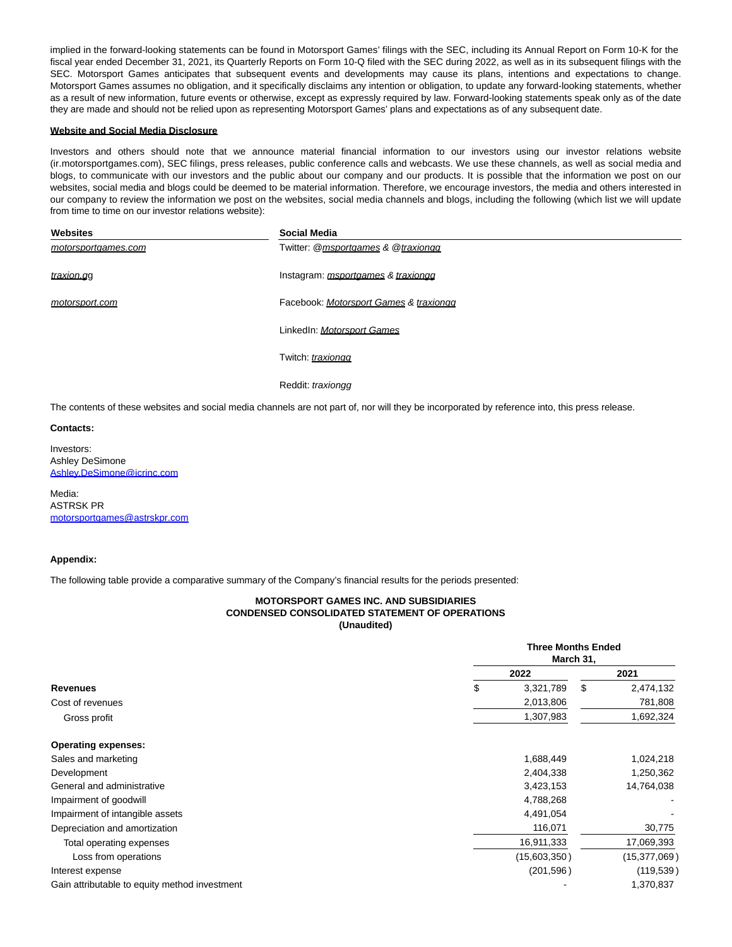implied in the forward-looking statements can be found in Motorsport Games' filings with the SEC, including its Annual Report on Form 10-K for the fiscal year ended December 31, 2021, its Quarterly Reports on Form 10-Q filed with the SEC during 2022, as well as in its subsequent filings with the SEC. Motorsport Games anticipates that subsequent events and developments may cause its plans, intentions and expectations to change. Motorsport Games assumes no obligation, and it specifically disclaims any intention or obligation, to update any forward-looking statements, whether as a result of new information, future events or otherwise, except as expressly required by law. Forward-looking statements speak only as of the date they are made and should not be relied upon as representing Motorsport Games' plans and expectations as of any subsequent date.

## **Website and Social Media Disclosure**

Investors and others should note that we announce material financial information to our investors using our investor relations website (ir.motorsportgames.com), SEC filings, press releases, public conference calls and webcasts. We use these channels, as well as social media and blogs, to communicate with our investors and the public about our company and our products. It is possible that the information we post on our websites, social media and blogs could be deemed to be material information. Therefore, we encourage investors, the media and others interested in our company to review the information we post on the websites, social media channels and blogs, including the following (which list we will update from time to time on our investor relations website):

| <b>Websites</b>     | <b>Social Media</b>                           |  |
|---------------------|-----------------------------------------------|--|
| motorsportgames.com | Twitter: @msportgames & @traxiongg            |  |
| traxion.gg          | Instagram: <i>msportgames &amp; traxiongg</i> |  |
| motorsport.com      | Facebook: Motorsport Games & traxionag        |  |
|                     | LinkedIn: Motorsport Games                    |  |
|                     | Twitch: traxiongg                             |  |
|                     | Reddit: traxiongg                             |  |

The contents of these websites and social media channels are not part of, nor will they be incorporated by reference into, this press release.

#### **Contacts:**

Investors: Ashley DeSimone [Ashley.DeSimone@icrinc.com](https://www.globenewswire.com/Tracker?data=5oROmNj65Qf9S9sV5C_MTeTflDvx3T6-WpLXFtyvfOZCa_FKHWzk2aanW-HNHYGTMqABdKb9T_YcznImvc3Nj46-h6LbJequa_a_RPfs4xbEE_tsqvnE2IdY-OXpEJ-T)

Media: ASTRSK PR [motorsportgames@astrskpr.com](https://www.globenewswire.com/Tracker?data=76WKDWeWzZtsFwy25AMyeCSD-a9S3tdKZ_QpuIEoYU01hJiXT4fAAGVV8DP5V6ePkHr5pOqaQut_461kDnIzn9t2CgHNJF0S4JeMaFnUub5FH05qBx---fGB033smrRv)

#### **Appendix:**

The following table provide a comparative summary of the Company's financial results for the periods presented:

#### **MOTORSPORT GAMES INC. AND SUBSIDIARIES CONDENSED CONSOLIDATED STATEMENT OF OPERATIONS (Unaudited)**

|                                               | <b>Three Months Ended</b><br>March 31, |    |                |
|-----------------------------------------------|----------------------------------------|----|----------------|
|                                               | 2022                                   |    | 2021           |
| <b>Revenues</b>                               | \$<br>3,321,789                        | \$ | 2,474,132      |
| Cost of revenues                              | 2,013,806                              |    | 781,808        |
| Gross profit                                  | 1,307,983                              |    | 1,692,324      |
| <b>Operating expenses:</b>                    |                                        |    |                |
| Sales and marketing                           | 1,688,449                              |    | 1,024,218      |
| Development                                   | 2,404,338                              |    | 1,250,362      |
| General and administrative                    | 3,423,153                              |    | 14,764,038     |
| Impairment of goodwill                        | 4,788,268                              |    |                |
| Impairment of intangible assets               | 4,491,054                              |    |                |
| Depreciation and amortization                 | 116,071                                |    | 30,775         |
| Total operating expenses                      | 16,911,333                             |    | 17,069,393     |
| Loss from operations                          | (15,603,350)                           |    | (15, 377, 069) |
| Interest expense                              | (201, 596)                             |    | (119, 539)     |
| Gain attributable to equity method investment |                                        |    | 1,370,837      |